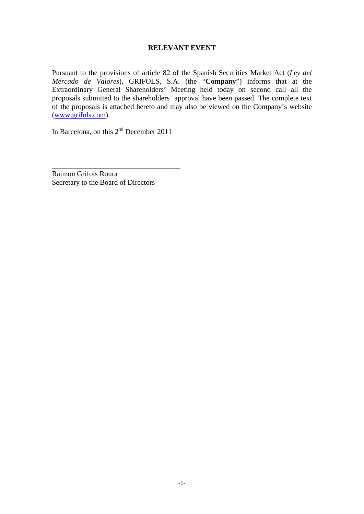## **RELEVANT EVENT**

Pursuant to the provisions of article 82 of the Spanish Securities Market Act (*Ley del Mercado de Valores*), GRIFOLS, S.A. (the "**Company**") informs that at the Extraordinary General Shareholders' Meeting held today on second call all the proposals submitted to the shareholders' approval have been passed. The complete text of the proposals is attached hereto and may also be viewed on the Company's website (www.grifols.com).

In Barcelona, on this  $2<sup>nd</sup>$  December 2011

\_\_\_\_\_\_\_\_\_\_\_\_\_\_\_\_\_\_\_\_\_\_\_\_\_\_\_\_\_\_\_\_\_\_\_

Raimon Grifols Roura Secretary to the Board of Directors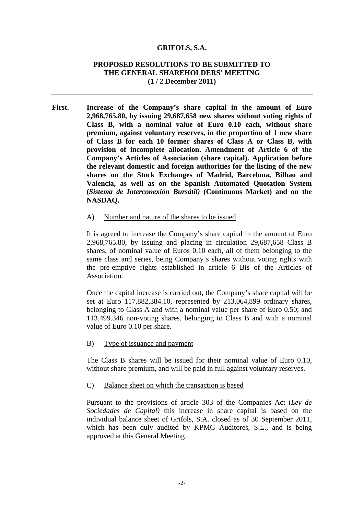#### **GRIFOLS, S.A.**

### **PROPOSED RESOLUTIONS TO BE SUBMITTED TO THE GENERAL SHAREHOLDERS' MEETING (1 / 2 December 2011)**

**First. Increase of the Company's share capital in the amount of Euro 2,968,765.80, by issuing 29,687,658 new shares without voting rights of Class B, with a nominal value of Euro 0.10 each, without share premium, against voluntary reserves, in the proportion of 1 new share of Class B for each 10 former shares of Class A or Class B, with provision of incomplete allocation. Amendment of Article 6 of the Company's Articles of Association (share capital). Application before the relevant domestic and foreign authorities for the listing of the new shares on the Stock Exchanges of Madrid, Barcelona, Bilbao and Valencia, as well as on the Spanish Automated Quotation System (***Sistema de Interconexión Bursátil)* **(Continuous Market) and on the NASDAQ.** 

#### A) Number and nature of the shares to be issued

It is agreed to increase the Company's share capital in the amount of Euro 2,968,765.80, by issuing and placing in circulation 29,687,658 Class B shares, of nominal value of Euros 0.10 each, all of them belonging to the same class and series, being Company's shares without voting rights with the pre-emptive rights established in article 6 Bis of the Articles of Association.

Once the capital increase is carried out, the Company's share capital will be set at Euro 117,882,384.10, represented by 213,064,899 ordinary shares, belonging to Class A and with a nominal value per share of Euro 0.50; and 113.499.346 non-voting shares, belonging to Class B and with a nominal value of Euro 0.10 per share.

B) Type of issuance and payment

The Class B shares will be issued for their nominal value of Euro 0.10, without share premium, and will be paid in full against voluntary reserves.

C) Balance sheet on which the transaction is based

Pursuant to the provisions of article 303 of the Companies Act (*Ley de Sociedades de Capital)* this increase in share capital is based on the individual balance sheet of Grifols, S.A. closed as of 30 September 2011, which has been duly audited by KPMG Auditores, S.L., and is being approved at this General Meeting.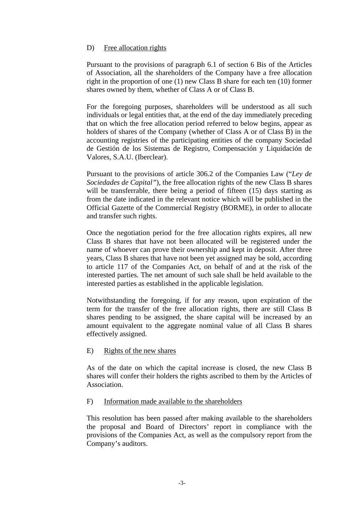# D) Free allocation rights

Pursuant to the provisions of paragraph 6.1 of section 6 Bis of the Articles of Association, all the shareholders of the Company have a free allocation right in the proportion of one (1) new Class B share for each ten (10) former shares owned by them, whether of Class A or of Class B.

For the foregoing purposes, shareholders will be understood as all such individuals or legal entities that, at the end of the day immediately preceding that on which the free allocation period referred to below begins, appear as holders of shares of the Company (whether of Class A or of Class B) in the accounting registries of the participating entities of the company Sociedad de Gestión de los Sistemas de Registro, Compensación y Liquidación de Valores, S.A.U. (Iberclear).

Pursuant to the provisions of article 306.2 of the Companies Law ("*Ley de Sociedades de Capital"*), the free allocation rights of the new Class B shares will be transferrable, there being a period of fifteen (15) days starting as from the date indicated in the relevant notice which will be published in the Official Gazette of the Commercial Registry (BORME), in order to allocate and transfer such rights.

Once the negotiation period for the free allocation rights expires, all new Class B shares that have not been allocated will be registered under the name of whoever can prove their ownership and kept in deposit. After three years, Class B shares that have not been yet assigned may be sold, according to article 117 of the Companies Act, on behalf of and at the risk of the interested parties. The net amount of such sale shall be held available to the interested parties as established in the applicable legislation.

Notwithstanding the foregoing, if for any reason, upon expiration of the term for the transfer of the free allocation rights, there are still Class B shares pending to be assigned, the share capital will be increased by an amount equivalent to the aggregate nominal value of all Class B shares effectively assigned.

### E) Rights of the new shares

As of the date on which the capital increase is closed, the new Class B shares will confer their holders the rights ascribed to them by the Articles of Association.

### F) Information made available to the shareholders

This resolution has been passed after making available to the shareholders the proposal and Board of Directors' report in compliance with the provisions of the Companies Act, as well as the compulsory report from the Company's auditors.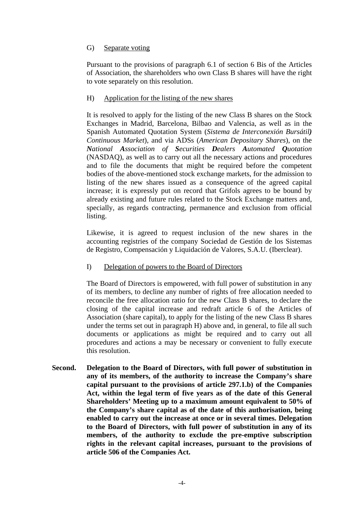# G) Separate voting

Pursuant to the provisions of paragraph 6.1 of section 6 Bis of the Articles of Association, the shareholders who own Class B shares will have the right to vote separately on this resolution.

### H) Application for the listing of the new shares

It is resolved to apply for the listing of the new Class B shares on the Stock Exchanges in Madrid, Barcelona, Bilbao and Valencia, as well as in the Spanish Automated Quotation System (*Sistema de Interconexión Bursátil) Continuous Market*), and via ADSs (*American Depositary Shares*), on the *National Association of Securities Dealers Automated Quotation* (NASDAQ), as well as to carry out all the necessary actions and procedures and to file the documents that might be required before the competent bodies of the above-mentioned stock exchange markets, for the admission to listing of the new shares issued as a consequence of the agreed capital increase; it is expressly put on record that Grifols agrees to be bound by already existing and future rules related to the Stock Exchange matters and, specially, as regards contracting, permanence and exclusion from official listing.

Likewise, it is agreed to request inclusion of the new shares in the accounting registries of the company Sociedad de Gestión de los Sistemas de Registro, Compensación y Liquidación de Valores, S.A.U. (Iberclear).

I) Delegation of powers to the Board of Directors

The Board of Directors is empowered, with full power of substitution in any of its members, to decline any number of rights of free allocation needed to reconcile the free allocation ratio for the new Class B shares, to declare the closing of the capital increase and redraft article 6 of the Articles of Association (share capital), to apply for the listing of the new Class B shares under the terms set out in paragraph H) above and, in general, to file all such documents or applications as might be required and to carry out all procedures and actions a may be necessary or convenient to fully execute this resolution.

**Second. Delegation to the Board of Directors, with full power of substitution in any of its members, of the authority to increase the Company's share capital pursuant to the provisions of article 297.1.b) of the Companies Act, within the legal term of five years as of the date of this General Shareholders' Meeting up to a maximum amount equivalent to 50% of the Company's share capital as of the date of this authorisation, being enabled to carry out the increase at once or in several times. Delegation to the Board of Directors, with full power of substitution in any of its members, of the authority to exclude the pre-emptive subscription rights in the relevant capital increases, pursuant to the provisions of article 506 of the Companies Act.**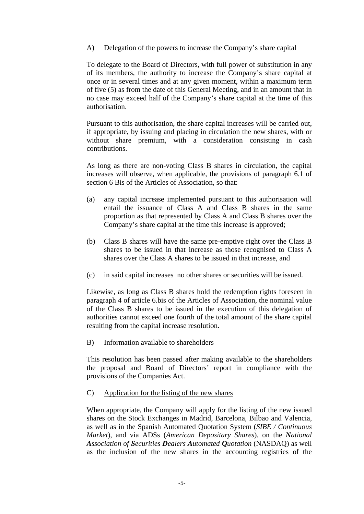# A) Delegation of the powers to increase the Company's share capital

To delegate to the Board of Directors, with full power of substitution in any of its members, the authority to increase the Company's share capital at once or in several times and at any given moment, within a maximum term of five (5) as from the date of this General Meeting, and in an amount that in no case may exceed half of the Company's share capital at the time of this authorisation.

Pursuant to this authorisation, the share capital increases will be carried out, if appropriate, by issuing and placing in circulation the new shares, with or without share premium, with a consideration consisting in cash contributions.

As long as there are non-voting Class B shares in circulation, the capital increases will observe, when applicable, the provisions of paragraph 6.1 of section 6 Bis of the Articles of Association, so that:

- (a) any capital increase implemented pursuant to this authorisation will entail the issuance of Class A and Class B shares in the same proportion as that represented by Class A and Class B shares over the Company's share capital at the time this increase is approved;
- (b) Class B shares will have the same pre-emptive right over the Class B shares to be issued in that increase as those recognised to Class A shares over the Class A shares to be issued in that increase, and
- (c) in said capital increases no other shares or securities will be issued.

Likewise, as long as Class B shares hold the redemption rights foreseen in paragraph 4 of article 6.bis of the Articles of Association, the nominal value of the Class B shares to be issued in the execution of this delegation of authorities cannot exceed one fourth of the total amount of the share capital resulting from the capital increase resolution.

# B) Information available to shareholders

This resolution has been passed after making available to the shareholders the proposal and Board of Directors' report in compliance with the provisions of the Companies Act.

### C) Application for the listing of the new shares

When appropriate, the Company will apply for the listing of the new issued shares on the Stock Exchanges in Madrid, Barcelona, Bilbao and Valencia, as well as in the Spanish Automated Quotation System (*SIBE / Continuous Market*), and via ADSs (*American Depositary Shares*), on the *National Association of Securities Dealers Automated Quotation* (NASDAQ) as well as the inclusion of the new shares in the accounting registries of the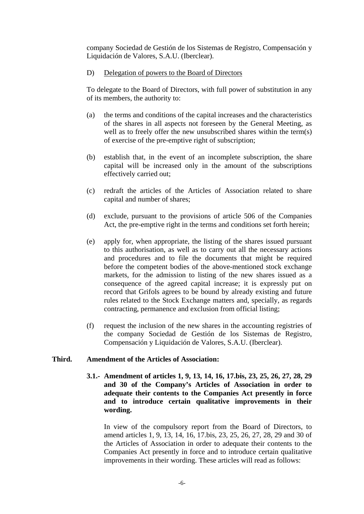company Sociedad de Gestión de los Sistemas de Registro, Compensación y Liquidación de Valores, S.A.U. (Iberclear).

## D) Delegation of powers to the Board of Directors

To delegate to the Board of Directors, with full power of substitution in any of its members, the authority to:

- (a) the terms and conditions of the capital increases and the characteristics of the shares in all aspects not foreseen by the General Meeting, as well as to freely offer the new unsubscribed shares within the term(s) of exercise of the pre-emptive right of subscription;
- (b) establish that, in the event of an incomplete subscription, the share capital will be increased only in the amount of the subscriptions effectively carried out;
- (c) redraft the articles of the Articles of Association related to share capital and number of shares;
- (d) exclude, pursuant to the provisions of article 506 of the Companies Act, the pre-emptive right in the terms and conditions set forth herein;
- (e) apply for, when appropriate, the listing of the shares issued pursuant to this authorisation, as well as to carry out all the necessary actions and procedures and to file the documents that might be required before the competent bodies of the above-mentioned stock exchange markets, for the admission to listing of the new shares issued as a consequence of the agreed capital increase; it is expressly put on record that Grifols agrees to be bound by already existing and future rules related to the Stock Exchange matters and, specially, as regards contracting, permanence and exclusion from official listing;
- (f) request the inclusion of the new shares in the accounting registries of the company Sociedad de Gestión de los Sistemas de Registro, Compensación y Liquidación de Valores, S.A.U. (Iberclear).

### **Third. Amendment of the Articles of Association:**

**3.1.- Amendment of articles 1, 9, 13, 14, 16, 17.bis, 23, 25, 26, 27, 28, 29 and 30 of the Company's Articles of Association in order to adequate their contents to the Companies Act presently in force and to introduce certain qualitative improvements in their wording.** 

In view of the compulsory report from the Board of Directors, to amend articles 1, 9, 13, 14, 16, 17.bis, 23, 25, 26, 27, 28, 29 and 30 of the Articles of Association in order to adequate their contents to the Companies Act presently in force and to introduce certain qualitative improvements in their wording. These articles will read as follows: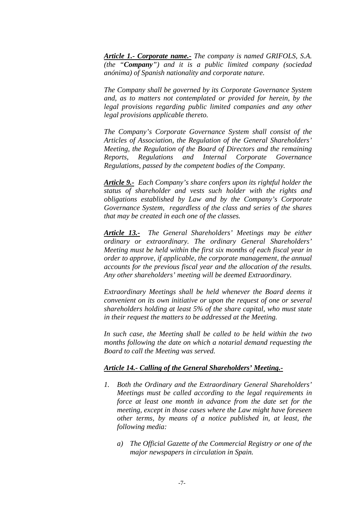*Article 1.- Corporate name.- The company is named GRIFOLS, S.A. (the "Company") and it is a public limited company (sociedad anónima) of Spanish nationality and corporate nature.* 

*The Company shall be governed by its Corporate Governance System and, as to matters not contemplated or provided for herein, by the legal provisions regarding public limited companies and any other legal provisions applicable thereto.* 

*The Company's Corporate Governance System shall consist of the Articles of Association, the Regulation of the General Shareholders' Meeting, the Regulation of the Board of Directors and the remaining Reports, Regulations and Internal Corporate Governance Regulations, passed by the competent bodies of the Company.* 

*Article 9.- Each Company's share confers upon its rightful holder the status of shareholder and vests such holder with the rights and obligations established by Law and by the Company's Corporate Governance System, regardless of the class and series of the shares that may be created in each one of the classes.* 

*Article 13.- The General Shareholders' Meetings may be either ordinary or extraordinary. The ordinary General Shareholders' Meeting must be held within the first six months of each fiscal year in order to approve, if applicable, the corporate management, the annual accounts for the previous fiscal year and the allocation of the results. Any other shareholders' meeting will be deemed Extraordinary.* 

*Extraordinary Meetings shall be held whenever the Board deems it convenient on its own initiative or upon the request of one or several shareholders holding at least 5% of the share capital, who must state in their request the matters to be addressed at the Meeting.* 

*In such case, the Meeting shall be called to be held within the two months following the date on which a notarial demand requesting the Board to call the Meeting was served.* 

### *Article 14.- Calling of the General Shareholders' Meeting.-*

- *1. Both the Ordinary and the Extraordinary General Shareholders' Meetings must be called according to the legal requirements in force at least one month in advance from the date set for the meeting, except in those cases where the Law might have foreseen other terms, by means of a notice published in, at least, the following media:* 
	- *a) The Official Gazette of the Commercial Registry or one of the major newspapers in circulation in Spain.*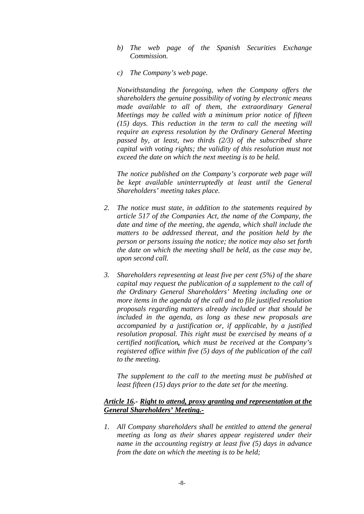- *b) The web page of the Spanish Securities Exchange Commission.*
- *c) The Company's web page.*

*Notwithstanding the foregoing, when the Company offers the shareholders the genuine possibility of voting by electronic means made available to all of them, the extraordinary General Meetings may be called with a minimum prior notice of fifteen (15) days. This reduction in the term to call the meeting will require an express resolution by the Ordinary General Meeting passed by, at least, two thirds (2/3) of the subscribed share capital with voting rights; the validity of this resolution must not exceed the date on which the next meeting is to be held.* 

*The notice published on the Company's corporate web page will be kept available uninterruptedly at least until the General Shareholders' meeting takes place.* 

- *2. The notice must state, in addition to the statements required by article 517 of the Companies Act, the name of the Company, the date and time of the meeting, the agenda, which shall include the matters to be addressed thereat, and the position held by the person or persons issuing the notice; the notice may also set forth the date on which the meeting shall be held, as the case may be, upon second call.*
- *3. Shareholders representing at least five per cent (5%) of the share capital may request the publication of a supplement to the call of the Ordinary General Shareholders' Meeting including one or more items in the agenda of the call and to file justified resolution proposals regarding matters already included or that should be included in the agenda, as long as these new proposals are accompanied by a justification or, if applicable, by a justified resolution proposal. This right must be exercised by means of a certified notification, which must be received at the Company's registered office within five (5) days of the publication of the call to the meeting.*

*The supplement to the call to the meeting must be published at least fifteen (15) days prior to the date set for the meeting.* 

### *Article 16.- Right to attend, proxy granting and representation at the General Shareholders' Meeting.-*

*1. All Company shareholders shall be entitled to attend the general meeting as long as their shares appear registered under their name in the accounting registry at least five (5) days in advance from the date on which the meeting is to be held;*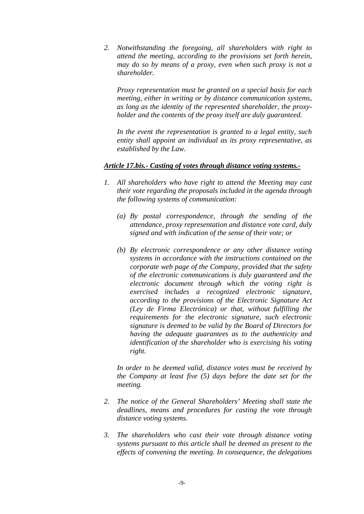*2. Notwithstanding the foregoing, all shareholders with right to attend the meeting, according to the provisions set forth herein, may do so by means of a proxy, even when such proxy is not a shareholder.* 

*Proxy representation must be granted on a special basis for each meeting, either in writing or by distance communication systems, as long as the identity of the represented shareholder, the proxyholder and the contents of the proxy itself are duly guaranteed.* 

*In the event the representation is granted to a legal entity, such entity shall appoint an individual as its proxy representative, as established by the Law.* 

### *Article 17.bis.- Casting of votes through distance voting systems.-*

- *1. All shareholders who have right to attend the Meeting may cast their vote regarding the proposals included in the agenda through the following systems of communication:* 
	- *(a) By postal correspondence, through the sending of the attendance, proxy representation and distance vote card, duly signed and with indication of the sense of their vote; or*
	- *(b) By electronic correspondence or any other distance voting systems in accordance with the instructions contained on the corporate web page of the Company, provided that the safety of the electronic communications is duly guaranteed and the electronic document through which the voting right is exercised includes a recognized electronic signature, according to the provisions of the Electronic Signature Act (Ley de Firma Electrónica) or that, without fulfilling the requirements for the electronic signature, such electronic signature is deemed to be valid by the Board of Directors for having the adequate guarantees as to the authenticity and identification of the shareholder who is exercising his voting right.*

*In order to be deemed valid, distance votes must be received by the Company at least five (5) days before the date set for the meeting.* 

- *2. The notice of the General Shareholders' Meeting shall state the deadlines, means and procedures for casting the vote through distance voting systems.*
- *3. The shareholders who cast their vote through distance voting systems pursuant to this article shall be deemed as present to the effects of convening the meeting. In consequence, the delegations*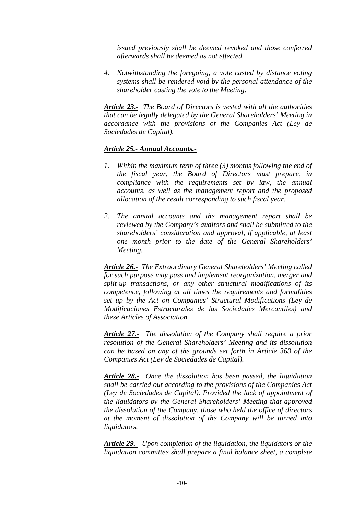*issued previously shall be deemed revoked and those conferred afterwards shall be deemed as not effected.* 

*4. Notwithstanding the foregoing, a vote casted by distance voting systems shall be rendered void by the personal attendance of the shareholder casting the vote to the Meeting.* 

*Article 23.- The Board of Directors is vested with all the authorities that can be legally delegated by the General Shareholders' Meeting in accordance with the provisions of the Companies Act (Ley de Sociedades de Capital).* 

## *Article 25.- Annual Accounts.-*

- *1. Within the maximum term of three (3) months following the end of the fiscal year, the Board of Directors must prepare, in compliance with the requirements set by law, the annual accounts, as well as the management report and the proposed allocation of the result corresponding to such fiscal year.*
- *2. The annual accounts and the management report shall be reviewed by the Company's auditors and shall be submitted to the shareholders' consideration and approval, if applicable, at least one month prior to the date of the General Shareholders' Meeting.*

*Article 26.- The Extraordinary General Shareholders' Meeting called for such purpose may pass and implement reorganization, merger and split-up transactions, or any other structural modifications of its competence, following at all times the requirements and formalities set up by the Act on Companies' Structural Modifications (Ley de Modificaciones Estructurales de las Sociedades Mercantiles) and these Articles of Association.* 

*Article 27.- The dissolution of the Company shall require a prior resolution of the General Shareholders' Meeting and its dissolution can be based on any of the grounds set forth in Article 363 of the Companies Act (Ley de Sociedades de Capital).* 

*Article 28.- Once the dissolution has been passed, the liquidation shall be carried out according to the provisions of the Companies Act (Ley de Sociedades de Capital). Provided the lack of appointment of the liquidators by the General Shareholders' Meeting that approved the dissolution of the Company, those who held the office of directors at the moment of dissolution of the Company will be turned into liquidators.* 

*Article 29.- Upon completion of the liquidation, the liquidators or the liquidation committee shall prepare a final balance sheet, a complete*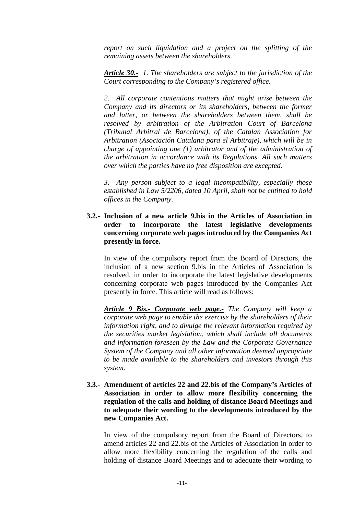*report on such liquidation and a project on the splitting of the remaining assets between the shareholders.* 

*Article 30.- 1. The shareholders are subject to the jurisdiction of the Court corresponding to the Company's registered office.* 

*2. All corporate contentious matters that might arise between the Company and its directors or its shareholders, between the former and latter, or between the shareholders between them, shall be resolved by arbitration of the Arbitration Court of Barcelona (Tribunal Arbitral de Barcelona), of the Catalan Association for Arbitration (Asociación Catalana para el Arbitraje), which will be in charge of appointing one (1) arbitrator and of the administration of the arbitration in accordance with its Regulations. All such matters over which the parties have no free disposition are excepted.* 

*3. Any person subject to a legal incompatibility, especially those established in Law 5/2206, dated 10 April, shall not be entitled to hold offices in the Company.* 

**3.2.- Inclusion of a new article 9.bis in the Articles of Association in order to incorporate the latest legislative developments concerning corporate web pages introduced by the Companies Act presently in force.** 

In view of the compulsory report from the Board of Directors, the inclusion of a new section 9.bis in the Articles of Association is resolved, in order to incorporate the latest legislative developments concerning corporate web pages introduced by the Companies Act presently in force. This article will read as follows:

*Article 9 Bis.- Corporate web page.- The Company will keep a corporate web page to enable the exercise by the shareholders of their information right, and to divulge the relevant information required by the securities market legislation, which shall include all documents and information foreseen by the Law and the Corporate Governance System of the Company and all other information deemed appropriate to be made available to the shareholders and investors through this system.* 

**3.3.- Amendment of articles 22 and 22.bis of the Company's Articles of Association in order to allow more flexibility concerning the regulation of the calls and holding of distance Board Meetings and to adequate their wording to the developments introduced by the new Companies Act.** 

In view of the compulsory report from the Board of Directors, to amend articles 22 and 22.bis of the Articles of Association in order to allow more flexibility concerning the regulation of the calls and holding of distance Board Meetings and to adequate their wording to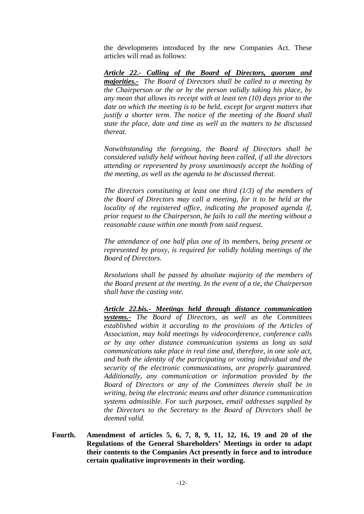the developments introduced by the new Companies Act. These articles will read as follows:

*Article 22.- Calling of the Board of Directors, quorum and majorities.- The Board of Directors shall be called to a meeting by the Chairperson or the or by the person validly taking his place, by any mean that allows its receipt with at least ten (10) days prior to the date on which the meeting is to be held, except for urgent matters that justify a shorter term. The notice of the meeting of the Board shall state the place, date and time as well as the matters to be discussed thereat.* 

 *Notwithstanding the foregoing, the Board of Directors shall be considered validly held without having been called, if all the directors attending or represented by proxy unanimously accept the holding of the meeting, as well as the agenda to be discussed thereat.* 

 *The directors constituting at least one third (1/3) of the members of the Board of Directors may call a meeting, for it to be held at the locality of the registered office, indicating the proposed agenda if, prior request to the Chairperson, he fails to call the meeting without a reasonable cause within one month from said request.* 

 *The attendance of one half plus one of its members, being present or represented by proxy, is required for validly holding meetings of the Board of Directors.* 

 *Resolutions shall be passed by absolute majority of the members of the Board present at the meeting. In the event of a tie, the Chairperson shall have the casting vote.* 

 *Article 22.bis.- Meetings held through distance communication systems.- The Board of Directors, as well as the Committees established within it according to the provisions of the Articles of Association, may hold meetings by videoconference, conference calls or by any other distance communication systems as long as said communications take place in real time and, therefore, in one sole act, and both the identity of the participating or voting individual and the security of the electronic communications, are properly guaranteed. Additionally, any communication or information provided by the Board of Directors or any of the Committees therein shall be in writing, being the electronic means and other distance communication systems admissible. For such purposes, email addresses supplied by the Directors to the Secretary to the Board of Directors shall be deemed valid.* 

**Fourth. Amendment of articles 5, 6, 7, 8, 9, 11, 12, 16, 19 and 20 of the Regulations of the General Shareholders' Meetings in order to adapt their contents to the Companies Act presently in force and to introduce certain qualitative improvements in their wording.**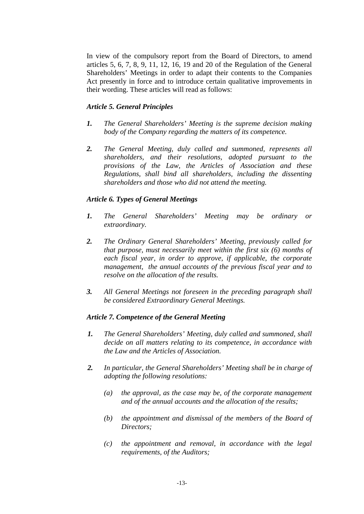In view of the compulsory report from the Board of Directors, to amend articles 5, 6, 7, 8, 9, 11, 12, 16, 19 and 20 of the Regulation of the General Shareholders' Meetings in order to adapt their contents to the Companies Act presently in force and to introduce certain qualitative improvements in their wording. These articles will read as follows:

# *Article 5. General Principles*

- *1. The General Shareholders' Meeting is the supreme decision making body of the Company regarding the matters of its competence.*
- *2. The General Meeting, duly called and summoned, represents all shareholders, and their resolutions, adopted pursuant to the provisions of the Law, the Articles of Association and these Regulations, shall bind all shareholders, including the dissenting shareholders and those who did not attend the meeting.*

# *Article 6. Types of General Meetings*

- *1. The General Shareholders' Meeting may be ordinary or extraordinary.*
- *2. The Ordinary General Shareholders' Meeting, previously called for that purpose, must necessarily meet within the first six (6) months of each fiscal year, in order to approve, if applicable, the corporate management, the annual accounts of the previous fiscal year and to resolve on the allocation of the results.*
- *3. All General Meetings not foreseen in the preceding paragraph shall be considered Extraordinary General Meetings.*

### *Article 7. Competence of the General Meeting*

- *1. The General Shareholders' Meeting, duly called and summoned, shall decide on all matters relating to its competence, in accordance with the Law and the Articles of Association.*
- *2. In particular, the General Shareholders' Meeting shall be in charge of adopting the following resolutions:* 
	- *(a) the approval, as the case may be, of the corporate management and of the annual accounts and the allocation of the results;*
	- *(b) the appointment and dismissal of the members of the Board of Directors;*
	- *(c) the appointment and removal, in accordance with the legal requirements, of the Auditors;*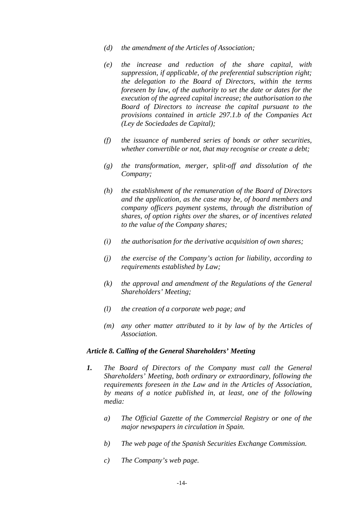- *(d) the amendment of the Articles of Association;*
- *(e) the increase and reduction of the share capital, with suppression, if applicable, of the preferential subscription right; the delegation to the Board of Directors, within the terms foreseen by law, of the authority to set the date or dates for the execution of the agreed capital increase; the authorisation to the Board of Directors to increase the capital pursuant to the provisions contained in article 297.1.b of the Companies Act (Ley de Sociedades de Capital);*
- *(f) the issuance of numbered series of bonds or other securities, whether convertible or not, that may recognise or create a debt;*
- *(g) the transformation, merger, split-off and dissolution of the Company;*
- *(h) the establishment of the remuneration of the Board of Directors and the application, as the case may be, of board members and company officers payment systems, through the distribution of shares, of option rights over the shares, or of incentives related to the value of the Company shares;*
- *(i) the authorisation for the derivative acquisition of own shares;*
- *(j) the exercise of the Company's action for liability, according to requirements established by Law;*
- *(k) the approval and amendment of the Regulations of the General Shareholders' Meeting;*
- *(l) the creation of a corporate web page; and*
- *(m) any other matter attributed to it by law of by the Articles of Association.*

#### *Article 8. Calling of the General Shareholders' Meeting*

- *1. The Board of Directors of the Company must call the General Shareholders' Meeting, both ordinary or extraordinary, following the requirements foreseen in the Law and in the Articles of Association, by means of a notice published in, at least, one of the following media:* 
	- *a) The Official Gazette of the Commercial Registry or one of the major newspapers in circulation in Spain.*
	- *b) The web page of the Spanish Securities Exchange Commission.*
	- *c) The Company's web page.*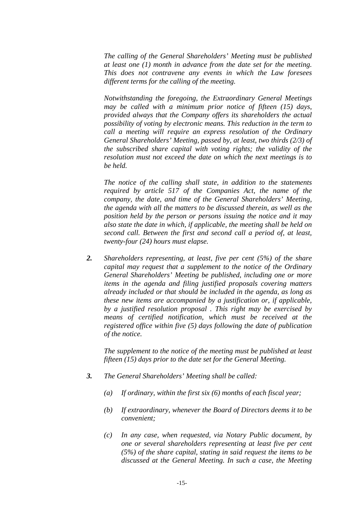*The calling of the General Shareholders' Meeting must be published at least one (1) month in advance from the date set for the meeting. This does not contravene any events in which the Law foresees different terms for the calling of the meeting.* 

*Notwithstanding the foregoing, the Extraordinary General Meetings may be called with a minimum prior notice of fifteen (15) days, provided always that the Company offers its shareholders the actual possibility of voting by electronic means. This reduction in the term to call a meeting will require an express resolution of the Ordinary General Shareholders' Meeting, passed by, at least, two thirds (2/3) of the subscribed share capital with voting rights; the validity of the resolution must not exceed the date on which the next meetings is to be held.* 

*The notice of the calling shall state, in addition to the statements required by article 517 of the Companies Act, the name of the company, the date, and time of the General Shareholders' Meeting, the agenda with all the matters to be discussed therein, as well as the position held by the person or persons issuing the notice and it may also state the date in which, if applicable, the meeting shall be held on second call. Between the first and second call a period of, at least, twenty-four (24) hours must elapse.* 

*2. Shareholders representing, at least, five per cent (5%) of the share capital may request that a supplement to the notice of the Ordinary General Shareholders' Meeting be published, including one or more items in the agenda and filing justified proposals covering matters already included or that should be included in the agenda, as long as these new items are accompanied by a justification or, if applicable, by a justified resolution proposal . This right may be exercised by means of certified notification, which must be received at the registered office within five (5) days following the date of publication of the notice.* 

*The supplement to the notice of the meeting must be published at least fifteen (15) days prior to the date set for the General Meeting.* 

- *3. The General Shareholders' Meeting shall be called:* 
	- *(a) If ordinary, within the first six (6) months of each fiscal year;*
	- *(b) If extraordinary, whenever the Board of Directors deems it to be convenient;*
	- *(c) In any case, when requested, via Notary Public document, by one or several shareholders representing at least five per cent (5%) of the share capital, stating in said request the items to be discussed at the General Meeting. In such a case, the Meeting*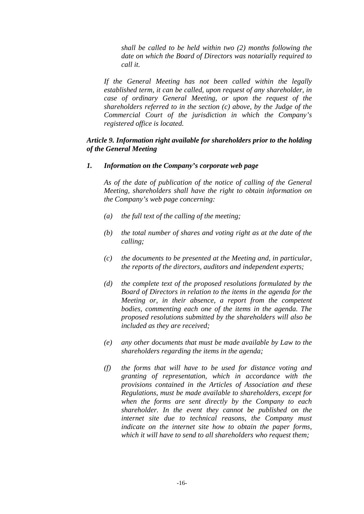*shall be called to be held within two (2) months following the date on which the Board of Directors was notarially required to call it.* 

*If the General Meeting has not been called within the legally established term, it can be called, upon request of any shareholder, in case of ordinary General Meeting, or upon the request of the shareholders referred to in the section (c) above, by the Judge of the Commercial Court of the jurisdiction in which the Company's registered office is located.* 

## *Article 9. Information right available for shareholders prior to the holding of the General Meeting*

## *1. Information on the Company's corporate web page*

*As of the date of publication of the notice of calling of the General Meeting, shareholders shall have the right to obtain information on the Company's web page concerning:* 

- *(a) the full text of the calling of the meeting;*
- *(b) the total number of shares and voting right as at the date of the calling;*
- *(c) the documents to be presented at the Meeting and, in particular, the reports of the directors, auditors and independent experts;*
- *(d) the complete text of the proposed resolutions formulated by the Board of Directors in relation to the items in the agenda for the Meeting or, in their absence, a report from the competent bodies, commenting each one of the items in the agenda. The proposed resolutions submitted by the shareholders will also be included as they are received;*
- *(e) any other documents that must be made available by Law to the shareholders regarding the items in the agenda;*
- *(f) the forms that will have to be used for distance voting and granting of representation, which in accordance with the provisions contained in the Articles of Association and these Regulations, must be made available to shareholders, except for when the forms are sent directly by the Company to each shareholder. In the event they cannot be published on the internet site due to technical reasons, the Company must indicate on the internet site how to obtain the paper forms, which it will have to send to all shareholders who request them;*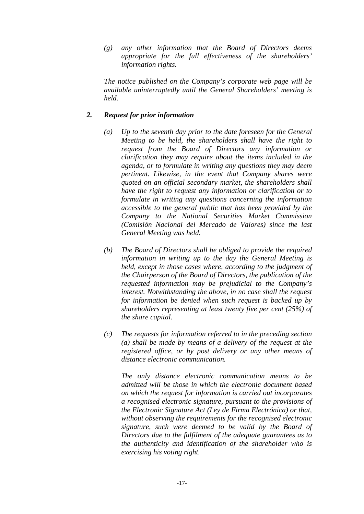*(g) any other information that the Board of Directors deems appropriate for the full effectiveness of the shareholders' information rights.* 

*The notice published on the Company's corporate web page will be available uninterruptedly until the General Shareholders' meeting is held.* 

# *2. Request for prior information*

- *(a) Up to the seventh day prior to the date foreseen for the General Meeting to be held, the shareholders shall have the right to request from the Board of Directors any information or clarification they may require about the items included in the agenda, or to formulate in writing any questions they may deem pertinent. Likewise, in the event that Company shares were quoted on an official secondary market, the shareholders shall have the right to request any information or clarification or to formulate in writing any questions concerning the information accessible to the general public that has been provided by the Company to the National Securities Market Commission (Comisión Nacional del Mercado de Valores) since the last General Meeting was held.*
- *(b) The Board of Directors shall be obliged to provide the required information in writing up to the day the General Meeting is held, except in those cases where, according to the judgment of the Chairperson of the Board of Directors, the publication of the requested information may be prejudicial to the Company's interest. Notwithstanding the above, in no case shall the request for information be denied when such request is backed up by shareholders representing at least twenty five per cent (25%) of the share capital.*
- *(c) The requests for information referred to in the preceding section (a) shall be made by means of a delivery of the request at the registered office, or by post delivery or any other means of distance electronic communication.*

*The only distance electronic communication means to be admitted will be those in which the electronic document based on which the request for information is carried out incorporates a recognised electronic signature, pursuant to the provisions of the Electronic Signature Act (Ley de Firma Electrónica) or that, without observing the requirements for the recognised electronic signature, such were deemed to be valid by the Board of Directors due to the fulfilment of the adequate guarantees as to the authenticity and identification of the shareholder who is exercising his voting right.*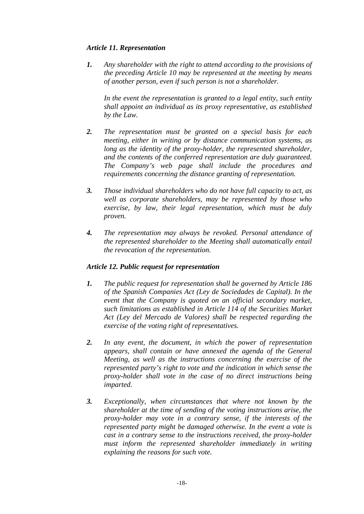# *Article 11. Representation*

*1. Any shareholder with the right to attend according to the provisions of the preceding Article 10 may be represented at the meeting by means of another person, even if such person is not a shareholder.* 

In the event the representation is granted to a legal entity, such entity *shall appoint an individual as its proxy representative, as established by the Law.* 

- *2. The representation must be granted on a special basis for each meeting, either in writing or by distance communication systems, as long as the identity of the proxy-holder, the represented shareholder, and the contents of the conferred representation are duly guaranteed. The Company's web page shall include the procedures and requirements concerning the distance granting of representation.*
- *3. Those individual shareholders who do not have full capacity to act, as well as corporate shareholders, may be represented by those who exercise, by law, their legal representation, which must be duly proven.*
- *4. The representation may always be revoked. Personal attendance of the represented shareholder to the Meeting shall automatically entail the revocation of the representation.*

# *Article 12. Public request for representation*

- *1. The public request for representation shall be governed by Article 186 of the Spanish Companies Act (Ley de Sociedades de Capital). In the event that the Company is quoted on an official secondary market, such limitations as established in Article 114 of the Securities Market Act (Ley del Mercado de Valores) shall be respected regarding the exercise of the voting right of representatives.*
- *2. In any event, the document, in which the power of representation appears, shall contain or have annexed the agenda of the General Meeting, as well as the instructions concerning the exercise of the represented party's right to vote and the indication in which sense the proxy-holder shall vote in the case of no direct instructions being imparted.*
- *3. Exceptionally, when circumstances that where not known by the shareholder at the time of sending of the voting instructions arise, the proxy-holder may vote in a contrary sense, if the interests of the represented party might be damaged otherwise. In the event a vote is cast in a contrary sense to the instructions received, the proxy-holder must inform the represented shareholder immediately in writing explaining the reasons for such vote.*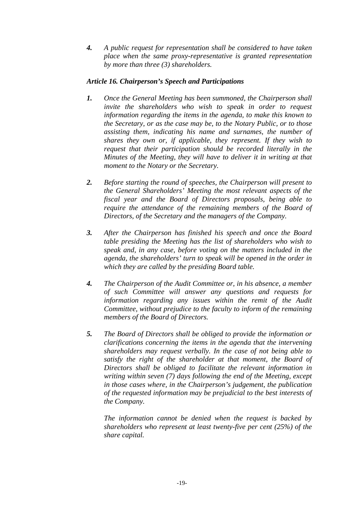*4. A public request for representation shall be considered to have taken place when the same proxy-representative is granted representation by more than three (3) shareholders.* 

# *Article 16. Chairperson's Speech and Participations*

- *1. Once the General Meeting has been summoned, the Chairperson shall invite the shareholders who wish to speak in order to request information regarding the items in the agenda, to make this known to the Secretary, or as the case may be, to the Notary Public, or to those assisting them, indicating his name and surnames, the number of shares they own or, if applicable, they represent. If they wish to request that their participation should be recorded literally in the Minutes of the Meeting, they will have to deliver it in writing at that moment to the Notary or the Secretary.*
- *2. Before starting the round of speeches, the Chairperson will present to the General Shareholders' Meeting the most relevant aspects of the fiscal year and the Board of Directors proposals, being able to require the attendance of the remaining members of the Board of Directors, of the Secretary and the managers of the Company.*
- *3. After the Chairperson has finished his speech and once the Board table presiding the Meeting has the list of shareholders who wish to speak and, in any case, before voting on the matters included in the agenda, the shareholders' turn to speak will be opened in the order in which they are called by the presiding Board table.*
- *4. The Chairperson of the Audit Committee or, in his absence, a member of such Committee will answer any questions and requests for information regarding any issues within the remit of the Audit Committee, without prejudice to the faculty to inform of the remaining members of the Board of Directors.*
- *5. The Board of Directors shall be obliged to provide the information or clarifications concerning the items in the agenda that the intervening shareholders may request verbally. In the case of not being able to satisfy the right of the shareholder at that moment, the Board of Directors shall be obliged to facilitate the relevant information in writing within seven (7) days following the end of the Meeting, except in those cases where, in the Chairperson's judgement, the publication of the requested information may be prejudicial to the best interests of the Company.*

*The information cannot be denied when the request is backed by shareholders who represent at least twenty-five per cent (25%) of the share capital.*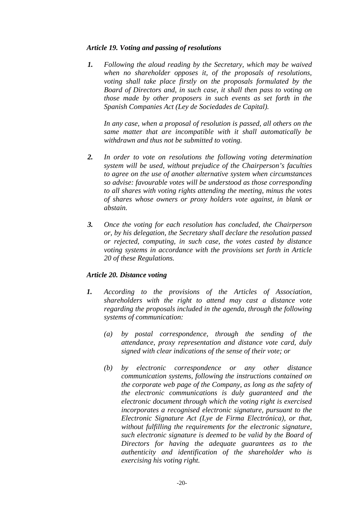# *Article 19. Voting and passing of resolutions*

*1. Following the aloud reading by the Secretary, which may be waived when no shareholder opposes it, of the proposals of resolutions, voting shall take place firstly on the proposals formulated by the Board of Directors and, in such case, it shall then pass to voting on those made by other proposers in such events as set forth in the Spanish Companies Act (Ley de Sociedades de Capital).* 

*In any case, when a proposal of resolution is passed, all others on the same matter that are incompatible with it shall automatically be withdrawn and thus not be submitted to voting.* 

- *2. In order to vote on resolutions the following voting determination system will be used, without prejudice of the Chairperson's faculties to agree on the use of another alternative system when circumstances so advise: favourable votes will be understood as those corresponding to all shares with voting rights attending the meeting, minus the votes of shares whose owners or proxy holders vote against, in blank or abstain.*
- *3. Once the voting for each resolution has concluded, the Chairperson or, by his delegation, the Secretary shall declare the resolution passed or rejected, computing, in such case, the votes casted by distance voting systems in accordance with the provisions set forth in Article 20 of these Regulations.*

### *Article 20. Distance voting*

- *1. According to the provisions of the Articles of Association, shareholders with the right to attend may cast a distance vote regarding the proposals included in the agenda, through the following systems of communication:* 
	- *(a) by postal correspondence, through the sending of the attendance, proxy representation and distance vote card, duly signed with clear indications of the sense of their vote; or*
	- *(b) by electronic correspondence or any other distance communication systems, following the instructions contained on the corporate web page of the Company, as long as the safety of the electronic communications is duly guaranteed and the electronic document through which the voting right is exercised incorporates a recognised electronic signature, pursuant to the Electronic Signature Act (Lye de Firma Electrónica), or that, without fulfilling the requirements for the electronic signature, such electronic signature is deemed to be valid by the Board of Directors for having the adequate guarantees as to the authenticity and identification of the shareholder who is exercising his voting right.*